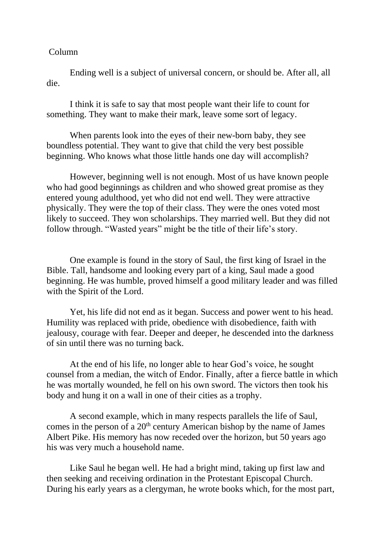## Column

Ending well is a subject of universal concern, or should be. After all, all die.

I think it is safe to say that most people want their life to count for something. They want to make their mark, leave some sort of legacy.

When parents look into the eyes of their new-born baby, they see boundless potential. They want to give that child the very best possible beginning. Who knows what those little hands one day will accomplish?

However, beginning well is not enough. Most of us have known people who had good beginnings as children and who showed great promise as they entered young adulthood, yet who did not end well. They were attractive physically. They were the top of their class. They were the ones voted most likely to succeed. They won scholarships. They married well. But they did not follow through. "Wasted years" might be the title of their life's story.

One example is found in the story of Saul, the first king of Israel in the Bible. Tall, handsome and looking every part of a king, Saul made a good beginning. He was humble, proved himself a good military leader and was filled with the Spirit of the Lord.

Yet, his life did not end as it began. Success and power went to his head. Humility was replaced with pride, obedience with disobedience, faith with jealousy, courage with fear. Deeper and deeper, he descended into the darkness of sin until there was no turning back.

At the end of his life, no longer able to hear God's voice, he sought counsel from a median, the witch of Endor. Finally, after a fierce battle in which he was mortally wounded, he fell on his own sword. The victors then took his body and hung it on a wall in one of their cities as a trophy.

A second example, which in many respects parallels the life of Saul, comes in the person of a  $20<sup>th</sup>$  century American bishop by the name of James Albert Pike. His memory has now receded over the horizon, but 50 years ago his was very much a household name.

Like Saul he began well. He had a bright mind, taking up first law and then seeking and receiving ordination in the Protestant Episcopal Church. During his early years as a clergyman, he wrote books which, for the most part,